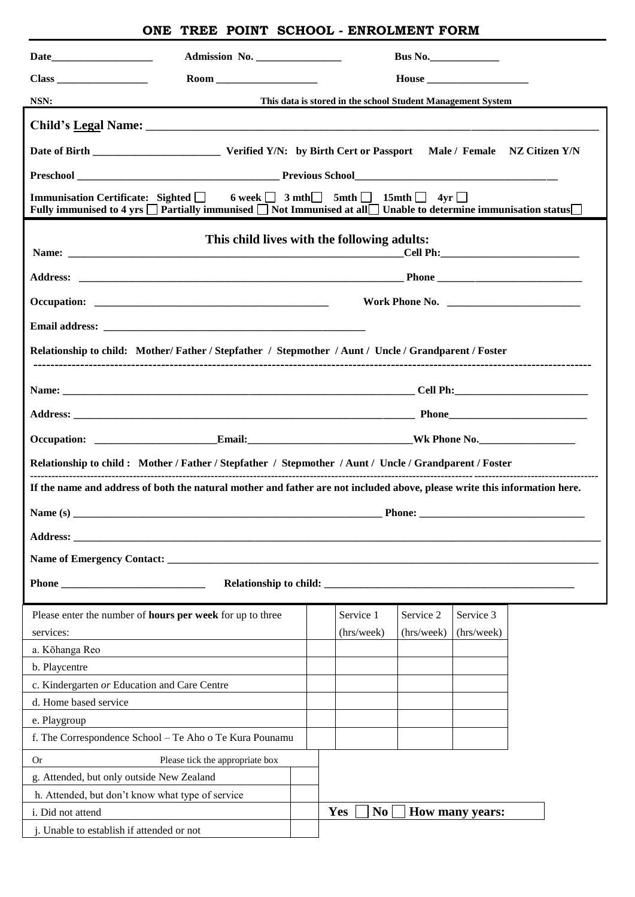## **ONE TREE POINT SCHOOL - ENROLMENT FORM**

|                                                                                                                                                                                                                                                  | Admission No.                                                    |  |            |  |           |            |                        |  |  |  |
|--------------------------------------------------------------------------------------------------------------------------------------------------------------------------------------------------------------------------------------------------|------------------------------------------------------------------|--|------------|--|-----------|------------|------------------------|--|--|--|
|                                                                                                                                                                                                                                                  |                                                                  |  |            |  |           |            |                        |  |  |  |
| <u> 1989 - Johann Barnett, fransk politik (d. 1989)</u><br>NSN:                                                                                                                                                                                  | This data is stored in the school Student Management System      |  |            |  |           |            |                        |  |  |  |
|                                                                                                                                                                                                                                                  |                                                                  |  |            |  |           |            |                        |  |  |  |
|                                                                                                                                                                                                                                                  |                                                                  |  |            |  |           |            |                        |  |  |  |
|                                                                                                                                                                                                                                                  |                                                                  |  |            |  |           |            |                        |  |  |  |
| Immunisation Certificate: Sighted $\Box$ 6 week $\Box$ 3 mth $\Box$ 5mth $\Box$ 15mth $\Box$ 4yr $\Box$<br>Fully immunised to 4 yrs $\Box$ Partially immunised $\Box$ Not Immunised at all $\Box$ Unable to determine immunisation status $\Box$ |                                                                  |  |            |  |           |            |                        |  |  |  |
| This child lives with the following adults:                                                                                                                                                                                                      |                                                                  |  |            |  |           |            |                        |  |  |  |
|                                                                                                                                                                                                                                                  |                                                                  |  |            |  |           |            |                        |  |  |  |
|                                                                                                                                                                                                                                                  |                                                                  |  |            |  |           |            |                        |  |  |  |
|                                                                                                                                                                                                                                                  |                                                                  |  |            |  |           |            |                        |  |  |  |
|                                                                                                                                                                                                                                                  |                                                                  |  |            |  |           |            |                        |  |  |  |
| Relationship to child: Mother/Father / Stepfather / Stepmother / Aunt / Uncle / Grandparent / Foster                                                                                                                                             |                                                                  |  |            |  |           |            |                        |  |  |  |
|                                                                                                                                                                                                                                                  |                                                                  |  |            |  |           |            |                        |  |  |  |
|                                                                                                                                                                                                                                                  |                                                                  |  |            |  |           |            |                        |  |  |  |
|                                                                                                                                                                                                                                                  |                                                                  |  |            |  |           |            |                        |  |  |  |
|                                                                                                                                                                                                                                                  |                                                                  |  |            |  |           |            |                        |  |  |  |
|                                                                                                                                                                                                                                                  |                                                                  |  |            |  |           |            |                        |  |  |  |
| Relationship to child: Mother / Father / Stepfather / Stepmother / Aunt / Uncle / Grandparent / Foster                                                                                                                                           |                                                                  |  |            |  |           |            |                        |  |  |  |
| If the name and address of both the natural mother and father are not included above, please write this information here.                                                                                                                        |                                                                  |  |            |  |           |            |                        |  |  |  |
|                                                                                                                                                                                                                                                  |                                                                  |  |            |  |           |            |                        |  |  |  |
| Address: the contract of the contract of the contract of the contract of the contract of the contract of the contract of the contract of the contract of the contract of the contract of the contract of the contract of the c                   |                                                                  |  |            |  |           |            |                        |  |  |  |
|                                                                                                                                                                                                                                                  |                                                                  |  |            |  |           |            |                        |  |  |  |
| Phone                                                                                                                                                                                                                                            |                                                                  |  |            |  |           |            |                        |  |  |  |
|                                                                                                                                                                                                                                                  |                                                                  |  |            |  |           |            |                        |  |  |  |
|                                                                                                                                                                                                                                                  | Please enter the number of <b>hours per week</b> for up to three |  |            |  | Service 1 | Service 2  | Service 3              |  |  |  |
| services:                                                                                                                                                                                                                                        |                                                                  |  | (hrs/week) |  |           | (hrs/week) | (hrs/week)             |  |  |  |
| a. Kōhanga Reo                                                                                                                                                                                                                                   |                                                                  |  |            |  |           |            |                        |  |  |  |
| b. Playcentre                                                                                                                                                                                                                                    |                                                                  |  |            |  |           |            |                        |  |  |  |
| c. Kindergarten or Education and Care Centre                                                                                                                                                                                                     |                                                                  |  |            |  |           |            |                        |  |  |  |
| d. Home based service                                                                                                                                                                                                                            |                                                                  |  |            |  |           |            |                        |  |  |  |
| e. Playgroup                                                                                                                                                                                                                                     |                                                                  |  |            |  |           |            |                        |  |  |  |
| f. The Correspondence School - Te Aho o Te Kura Pounamu                                                                                                                                                                                          |                                                                  |  |            |  |           |            |                        |  |  |  |
| <b>Or</b><br>Please tick the appropriate box                                                                                                                                                                                                     |                                                                  |  |            |  |           |            |                        |  |  |  |
| g. Attended, but only outside New Zealand                                                                                                                                                                                                        |                                                                  |  |            |  |           |            |                        |  |  |  |
| h. Attended, but don't know what type of service                                                                                                                                                                                                 |                                                                  |  |            |  |           |            |                        |  |  |  |
| i. Did not attend                                                                                                                                                                                                                                |                                                                  |  | Yes        |  | No        |            | <b>How many years:</b> |  |  |  |
| j. Unable to establish if attended or not                                                                                                                                                                                                        |                                                                  |  |            |  |           |            |                        |  |  |  |